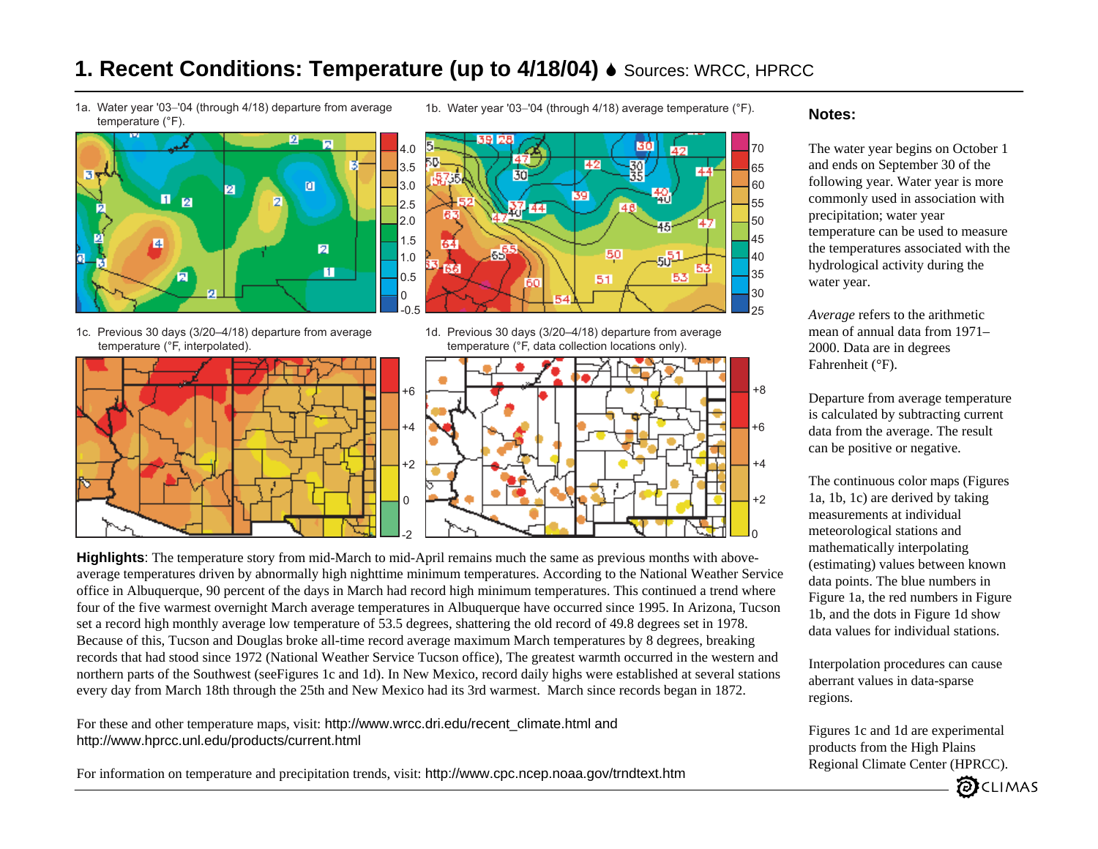## **1. Recent Conditions: Temperature (up to 4/18/04)**  $\bullet$  Sources: WRCC, HPRCC

1a. Water year '03−'04 (through 4/18) departure from average temperature (°F).



1c. Previous 30 days (3/20–4/18) departure from average temperature (°F, interpolated).



1b. Water year '03−'04 (through 4/18) average temperature (°F).



1d. Previous 30 days (3/20–4/18) departure from average temperature (°F, data collection locations only).



**Highlights**: The temperature story from mid-March to mid-April remains much the same as previous months with aboveaverage temperatures driven by abnormally high nighttime minimum temperatures. According to the National Weather Service office in Albuquerque, 90 percent of the days in March had record high minimum temperatures. This continued a trend where four of the five warmest overnight March average temperatures in Albuquerque have occurred since 1995. In Arizona, Tucson set a record high monthly average low temperature of 53.5 degrees, shattering the old record of 49.8 degrees set in 1978. Because of this, Tucson and Douglas broke all-time record average maximum March temperatures by 8 degrees, breaking records that had stood since 1972 (National Weather Service Tucson office), The greatest warmth occurred in the western and northern parts of the Southwest (seeFigures 1c and 1d). In New Mexico, record daily highs were established at several stations every day from March 18th through the 25th and New Mexico had its 3rd warmest. March since records began in 1872.

For these and other temperature maps, visit: http://www.wrcc.dri.edu/recent\_climate.html and http://www.hprcc.unl.edu/products/current.html

For information on temperature and precipitation trends, visit: http://www.cpc.ncep.noaa.gov/trndtext.htm

#### **Notes:**

45

40

55

The water year begins on October 1 and ends on September 30 of the following year. Water year is more commonly used in association with precipitation; water year temperature can be used to measure the temperatures associated with the hydrological activity during the water year.

*Average* refers to the arithmetic mean of annual data from 1971–2000. Data are in degrees Fahrenheit (°F).

Departure from average temperature is calculated by subtracting current data from the average. The result can be positive or negative.

The continuous color maps (Figures 1a, 1b, 1c) are derived by taking measurements at individual meteorological stations and mathematically interpolating (estimating) values between known data points. The blue numbers in Figure 1a, the red numbers in Figure 1b, and the dots in Figure 1d show data values for individual stations.

Interpolation procedures can cause aberrant values in data-sparse regions.

Figures 1c and 1d are experimental products from the High Plains Regional Climate Center (HPRCC).

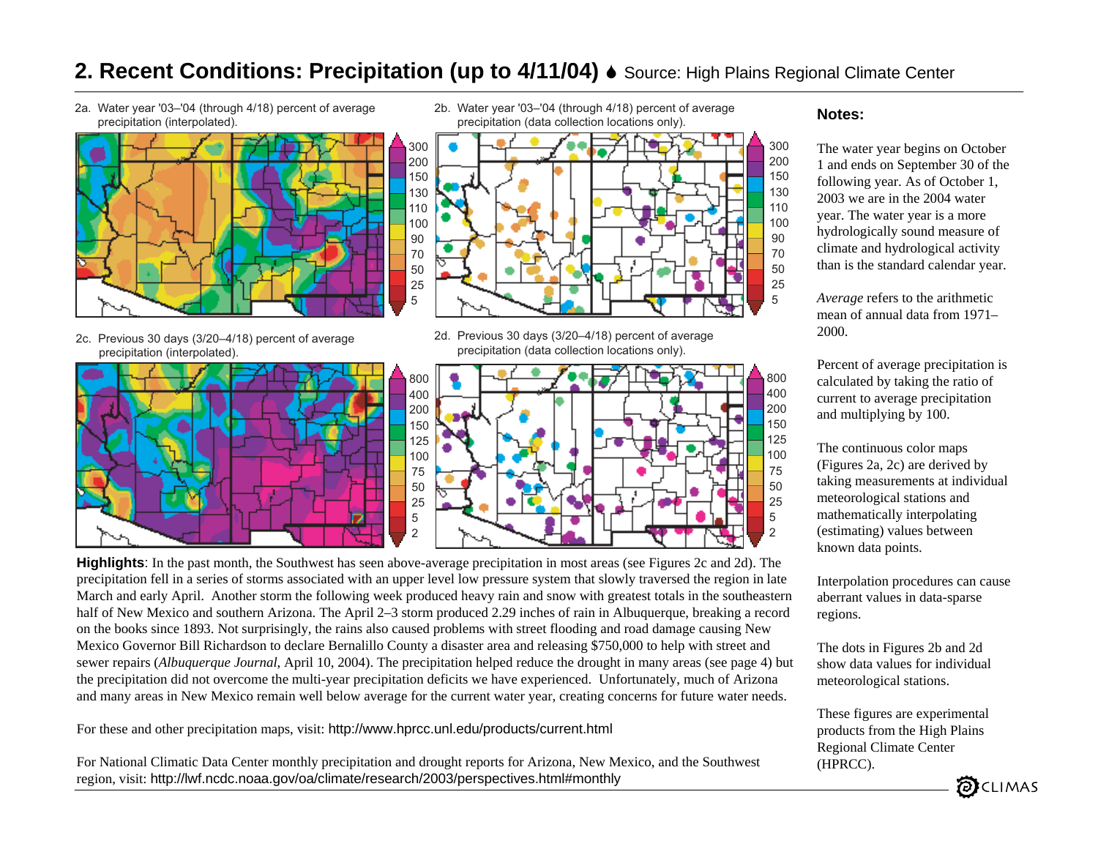# **2. Recent Conditions: Precipitation (up to 4/11/04)** 6 Source: High Plains Regional Climate Center

2a. Water year '03–'04 (through 4/18) percent of average precipitation (interpolated).



- 2c. Previous 30 days (3/20–4/18) percent of average precipitation (interpolated).
- 

2b. Water year '03–'04 (through 4/18) percent of average precipitation (data collection locations only).



2d. Previous 30 days (3/20–4/18) percent of average precipitation (data collection locations only).



**Highlights**: In the past month, the Southwest has seen above-average precipitation in most areas (see Figures 2c and 2d). The precipitation fell in a series of storms associated with an upper level low pressure system that slowly traversed the region in late March and early April. Another storm the following week produced heavy rain and snow with greatest totals in the southeastern half of New Mexico and southern Arizona. The April 2–3 storm produced 2.29 inches of rain in Albuquerque, breaking a record on the books since 1893. Not surprisingly, the rains also caused problems with street flooding and road damage causing New Mexico Governor Bill Richardson to declare Bernalillo County a disaster area and releasing \$750,000 to help with street and sewer repairs (*Albuquerque Journal*, April 10, 2004). The precipitation helped reduce the drought in many areas (see page 4) but the precipitation did not overcome the multi-year precipitation deficits we have experienced. Unfortunately, much of Arizona and many areas in New Mexico remain well below average for the current water year, creating concerns for future water needs.

For these and other precipitation maps, visit: http://www.hprcc.unl.edu/products/current.html

For National Climatic Data Center monthly precipitation and drought reports for Arizona, New Mexico, and the Southwest region, visit: http://lwf.ncdc.noaa.gov/oa/climate/research/2003/perspectives.html#monthly

#### **Notes:**

The water year begins on October 1 and ends on September 30 of the following year. As of October 1, 2003 we are in the 2004 water year. The water year is a more hydrologically sound measure of climate and hydrological activity than is the standard calendar year.

*Average* refers to the arithmetic mean of annual data from 1971–2000.

Percent of average precipitation is calculated by taking the ratio of current to average precipitation and multiplying by 100.

The continuous color maps (Figures 2a, 2c) are derived by taking measurements at individual meteorological stations and mathematically interpolating (estimating) values between known data points.

Interpolation procedures can cause aberrant values in data-sparse regions.

The dots in Figures 2b and 2d show data values for individual meteorological stations.

These figures are experimental products from the High Plains Regional Climate Center (HPRCC).

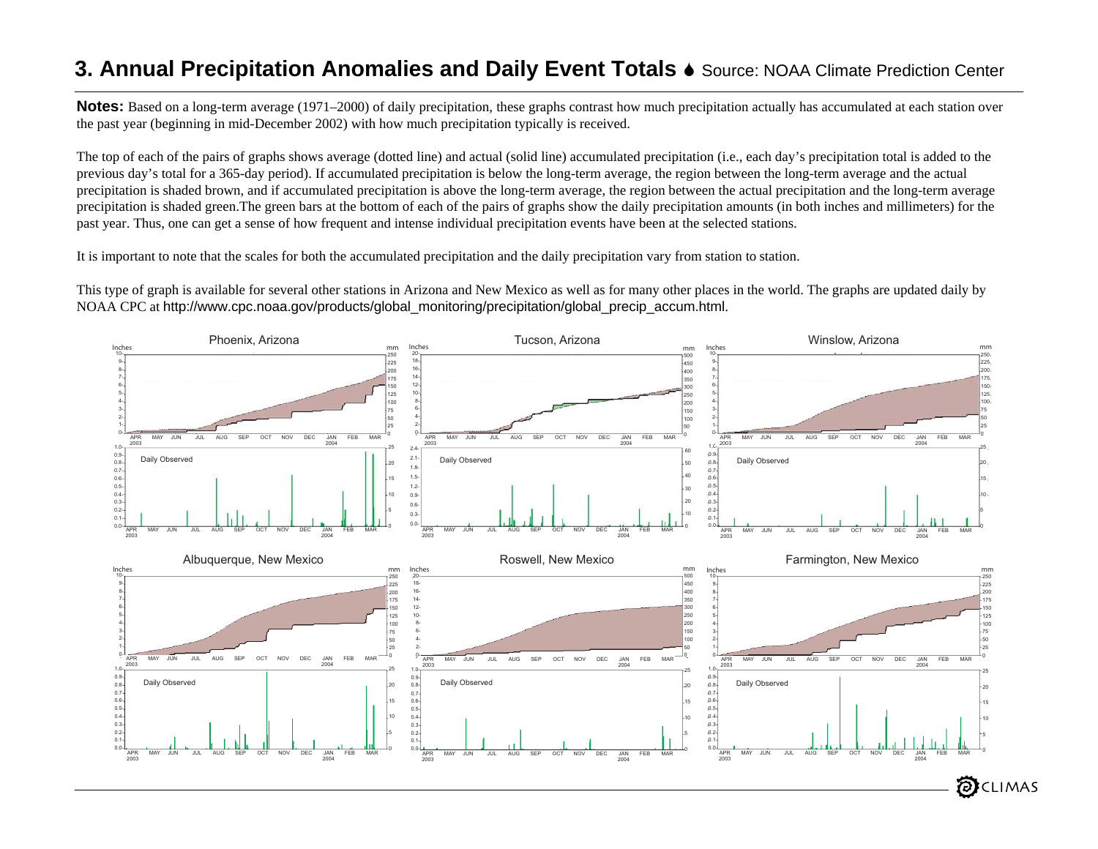## **3. Annual Precipitation Anomalies and Daily Event Totals** <sup>6</sup> Source: NOAA Climate Prediction Center

**Notes:** Based on a long-term average (1971–2000) of daily precipitation, these graphs contrast how much precipitation actually has accumulated at each station over the past year (beginning in mid-December 2002) with how much precipitation typically is received.

The top of each of the pairs of graphs shows average (dotted line) and actual (solid line) accumulated precipitation (i.e., each day's precipitation total is added to the previous day's total for a 365-day period). If accumulated precipitation is below the long-term average, the region between the long-term average and the actual precipitation is shaded brown, and if accumulated precipitation is above the long-term average, the region between the actual precipitation and the long-term average precipitation is shaded green.The green bars at the bottom of each of the pairs of graphs show the daily precipitation amounts (in both inches and millimeters) for the past year. Thus, one can get a sense of how frequent and intense individual precipitation events have been at the selected stations.

It is important to note that the scales for both the accumulated precipitation and the daily precipitation vary from station to station.

This type of graph is available for several other stations in Arizona and New Mexico as well as for many other places in the world. The graphs are updated daily by NOAA CPC at http://www.cpc.noaa.gov/products/global\_monitoring/precipitation/global\_precip\_accum.html.

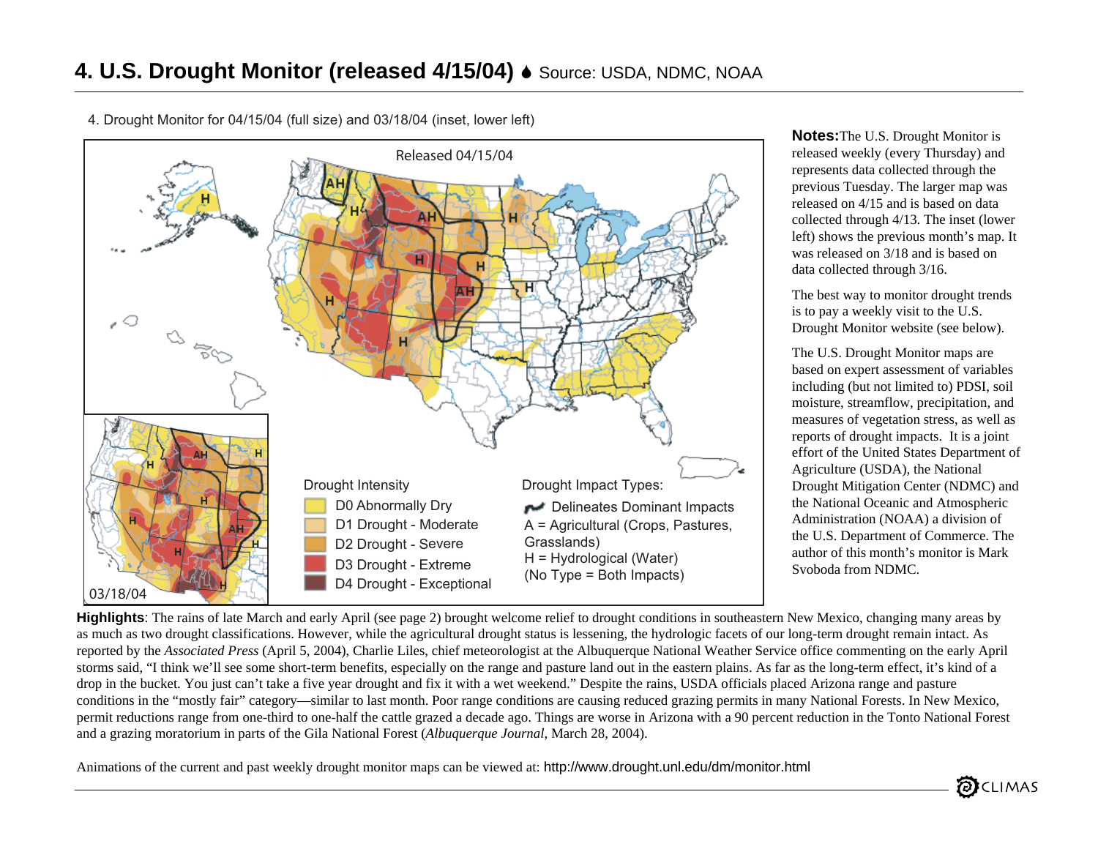

4. Drought Monitor for 04/15/04 (full size) and 03/18/04 (inset, lower left)

**Notes:**The U.S. Drought Monitor is released weekly (every Thursday) and represents data collected through the previous Tuesday. The larger map was released on 4/15 and is based on data collected through 4/13. The inset (lower left) shows the previous month's map. It was released on 3/18 and is based on data collected through 3/16.

The best way to monitor drought trends is to pay a weekly visit to the U.S. Drought Monitor website (see below).

The U.S. Drought Monitor maps are based on expert assessment of variables including (but not limited to) PDSI, soil moisture, streamflow, precipitation, and measures of vegetation stress, as well as reports of drought impacts. It is a joint effort of the United States Department of Agriculture (USDA), the National Drought Mitigation Center (NDMC) and the National Oceanic and Atmospheric Administration (NOAA) a division of the U.S. Department of Commerce. The author of this month's monitor is Mark Svoboda from NDMC.

**Highlights**: The rains of late March and early April (see page 2) brought welcome relief to drought conditions in southeastern New Mexico, changing many areas by as much as two drought classifications. However, while the agricultural drought status is lessening, the hydrologic facets of our long-term drought remain intact. As reported by the *Associated Press* (April 5, 2004), Charlie Liles, chief meteorologist at the Albuquerque National Weather Service office commenting on the early April storms said, "I think we'll see some short-term benefits, especially on the range and pasture land out in the eastern plains. As far as the long-term effect, it's kind of a drop in the bucket. You just can't take a five year drought and fix it with a wet weekend." Despite the rains, USDA officials placed Arizona range and pasture conditions in the "mostly fair" category—similar to last month. Poor range conditions are causing reduced grazing permits in many National Forests. In New Mexico, permit reductions range from one-third to one-half the cattle grazed a decade ago. Things are worse in Arizona with a 90 percent reduction in the Tonto National Forest and a grazing moratorium in parts of the Gila National Forest (*Albuquerque Journal*, March 28, 2004).

Animations of the current and past weekly drought monitor maps can be viewed at: http://www.drought.unl.edu/dm/monitor.html

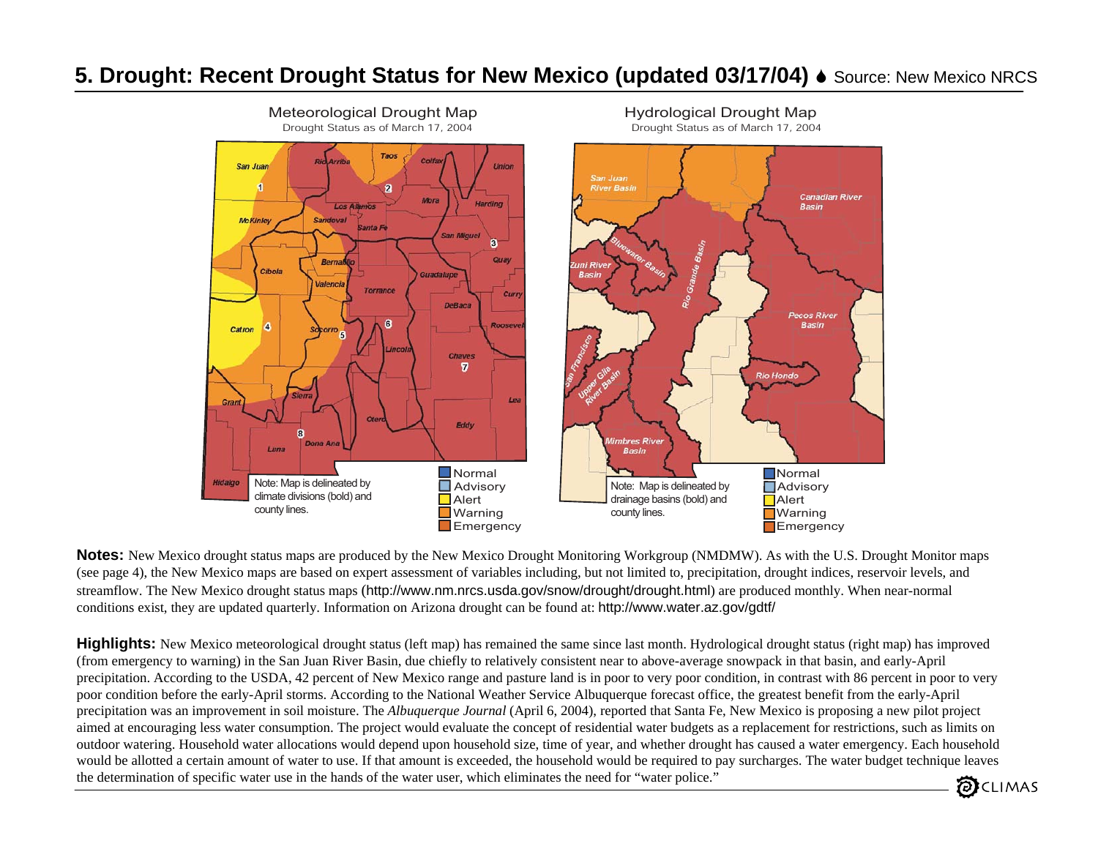# **5. Drought: Recent Drought Status for New Mexico (updated 03/17/04) • Source: New Mexico NRCS**



**Notes:** New Mexico drought status maps are produced by the New Mexico Drought Monitoring Workgroup (NMDMW). As with the U.S. Drought Monitor maps (see page 4), the New Mexico maps are based on expert assessment of variables including, but not limited to, precipitation, drought indices, reservoir levels, and streamflow. The New Mexico drought status maps (http://www.nm.nrcs.usda.gov/snow/drought/drought.html) are produced monthly. When near-normal conditions exist, they are updated quarterly. Information on Arizona drought can be found at: http://www.water.az.gov/gdtf/

**Highlights:** New Mexico meteorological drought status (left map) has remained the same since last month. Hydrological drought status (right map) has improved (from emergency to warning) in the San Juan River Basin, due chiefly to relatively consistent near to above-average snowpack in that basin, and early-April precipitation. According to the USDA, 42 percent of New Mexico range and pasture land is in poor to very poor condition, in contrast with 86 percent in poor to very poor condition before the early-April storms. According to the National Weather Service Albuquerque forecast office, the greatest benefit from the early-April precipitation was an improvement in soil moisture. The *Albuquerque Journal* (April 6, 2004), reported that Santa Fe, New Mexico is proposing a new pilot project aimed at encouraging less water consumption. The project would evaluate the concept of residential water budgets as a replacement for restrictions, such as limits on outdoor watering. Household water allocations would depend upon household size, time of year, and whether drought has caused a water emergency. Each household would be allotted a certain amount of water to use. If that amount is exceeded, the household would be required to pay surcharges. The water budget technique leaves the determination of specific water use in the hands of the water user, which eliminates the need for "water police." CLIMAS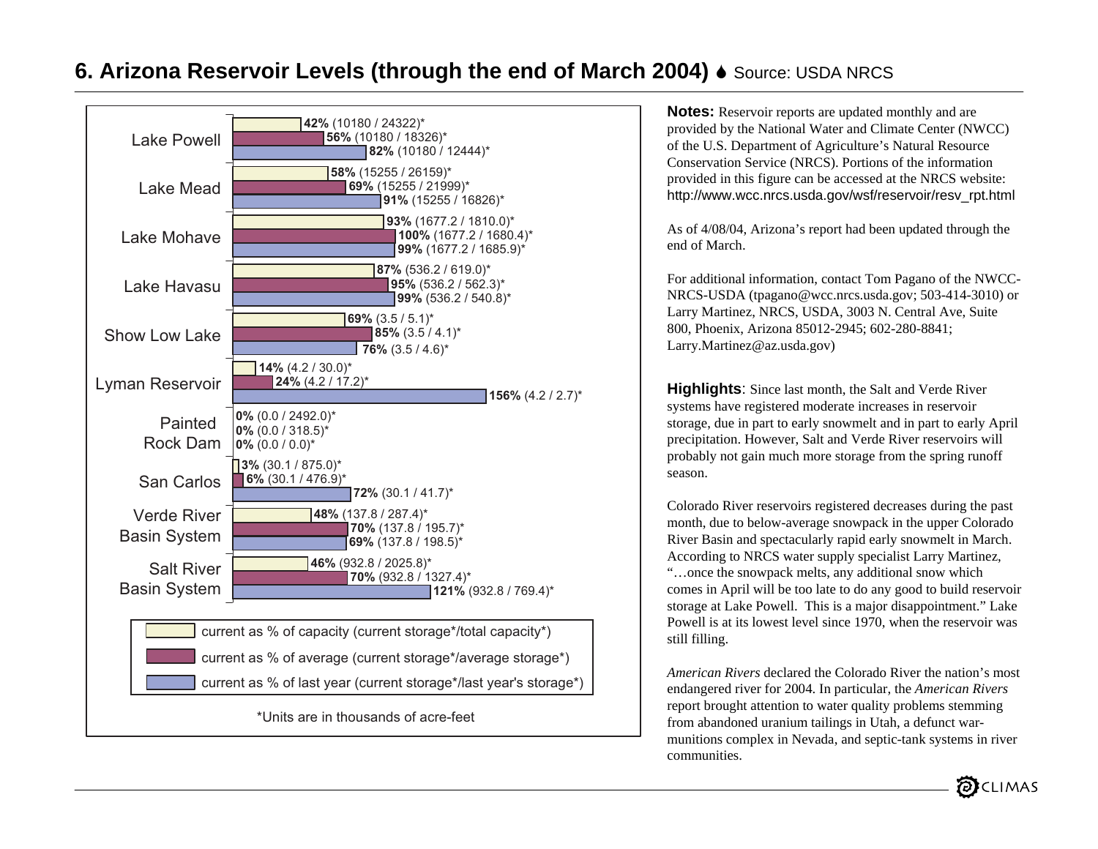# **6. Arizona Reservoir Levels (through the end of March 2004) ♦** Source: USDA NRCS



**Notes:** Reservoir reports are updated monthly and are provided by the National Water and Climate Center (NWCC) of the U.S. Department of Agriculture's Natural Resource Conservation Service (NRCS). Portions of the information provided in this figure can be accessed at the NRCS website: http://www.wcc.nrcs.usda.gov/wsf/reservoir/resv\_rpt.html

As of 4/08/04, Arizona's report had been updated through the end of March.

For additional information, contact Tom Pagano of the NWCC-NRCS-USDA (tpagano@wcc.nrcs.usda.gov; 503-414-3010) or Larry Martinez, NRCS, USDA, 3003 N. Central Ave, Suite 800, Phoenix, Arizona 85012-2945; 602-280-8841; Larry.Martinez@az.usda.gov)

**Highlights**: Since last month, the Salt and Verde River systems have registered moderate increases in reservoir storage, due in part to early snowmelt and in part to early April precipitation. However, Salt and Verde River reservoirs will probably not gain much more storage from the spring runoff season.

Colorado River reservoirs registered decreases during the past month, due to below-average snowpack in the upper Colorado River Basin and spectacularly rapid early snowmelt in March. According to NRCS water supply specialist Larry Martinez, "…once the snowpack melts, any additional snow which comes in April will be too late to do any good to build reservoir storage at Lake Powell. This is a major disappointment." Lake Powell is at its lowest level since 1970, when the reservoir was still filling.

*American Rivers* declared the Colorado River the nation's most endangered river for 2004. In particular, the *American Rivers* report brought attention to water quality problems stemming from abandoned uranium tailings in Utah, a defunct warmunitions complex in Nevada, and septic-tank systems in river communities.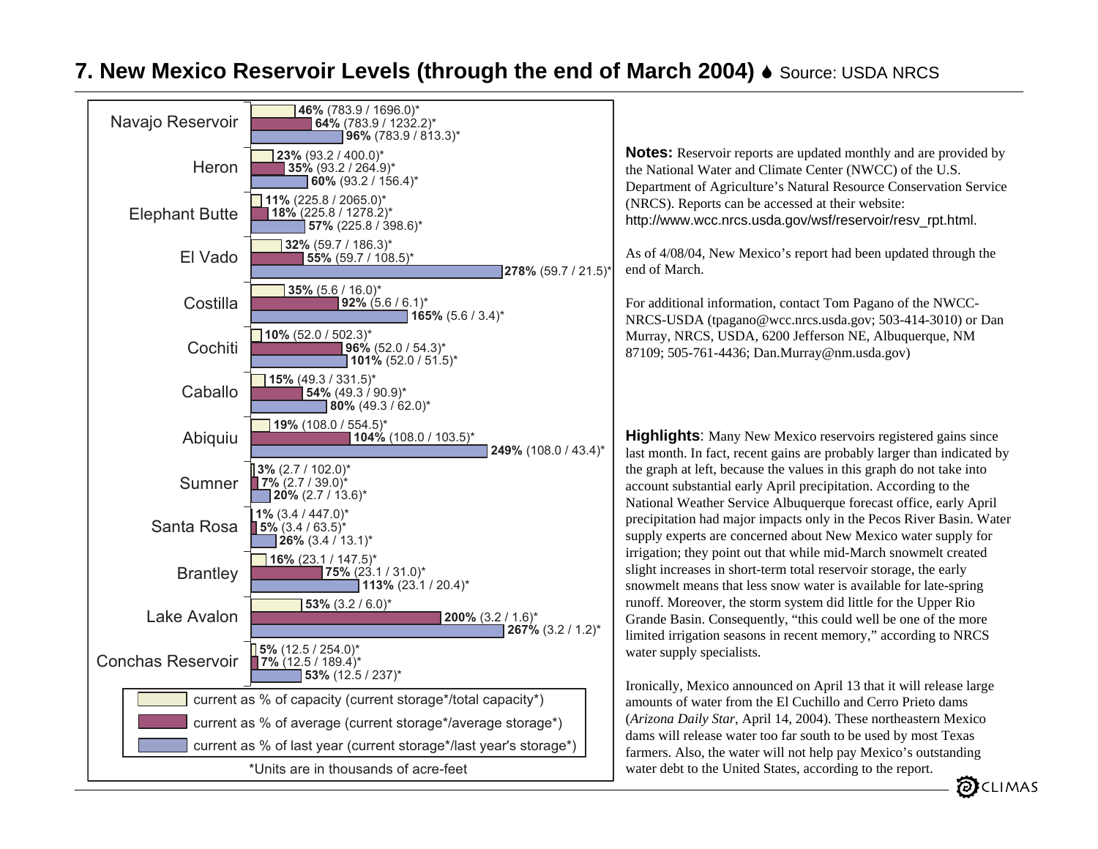## **7. New Mexico Reservoir Levels (through the end of March 2004) ♦ Source: USDA NRCS**



**Notes:** Reservoir reports are updated monthly and are provided by the National Water and Climate Center (NWCC) of the U.S. Department of Agriculture's Natural Resource Conservation Service (NRCS). Reports can be accessed at their website: http://www.wcc.nrcs.usda.gov/wsf/reservoir/resv\_rpt.html.

As of 4/08/04, New Mexico's report had been updated through the end of March.

For additional information, contact Tom Pagano of the NWCC-NRCS-USDA (tpagano@wcc.nrcs.usda.gov; 503-414-3010) or Dan Murray, NRCS, USDA, 6200 Jefferson NE, Albuquerque, NM 87109; 505-761-4436; Dan.Murray@nm.usda.gov)

**Highlights:** Many New Mexico reservoirs registered gains since last month. In fact, recent gains are probably larger than indicated by the graph at left, because the values in this graph do not take into account substantial early April precipitation. According to the National Weather Service Albuquerque forecast office, early April precipitation had major impacts only in the Pecos River Basin. Water supply experts are concerned about New Mexico water supply for irrigation; they point out that while mid-March snowmelt created slight increases in short-term total reservoir storage, the early snowmelt means that less snow water is available for late-spring runoff. Moreover, the storm system did little for the Upper Rio Grande Basin. Consequently, "this could well be one of the more limited irrigation seasons in recent memory," according to NRCS water supply specialists.

Ironically, Mexico announced on April 13 that it will release large amounts of water from the El Cuchillo and Cerro Prieto dams (*Arizona Daily Star*, April 14, 2004). These northeastern Mexico dams will release water too far south to be used by most Texas farmers. Also, the water will not help pay Mexico's outstanding water debt to the United States, according to the report.

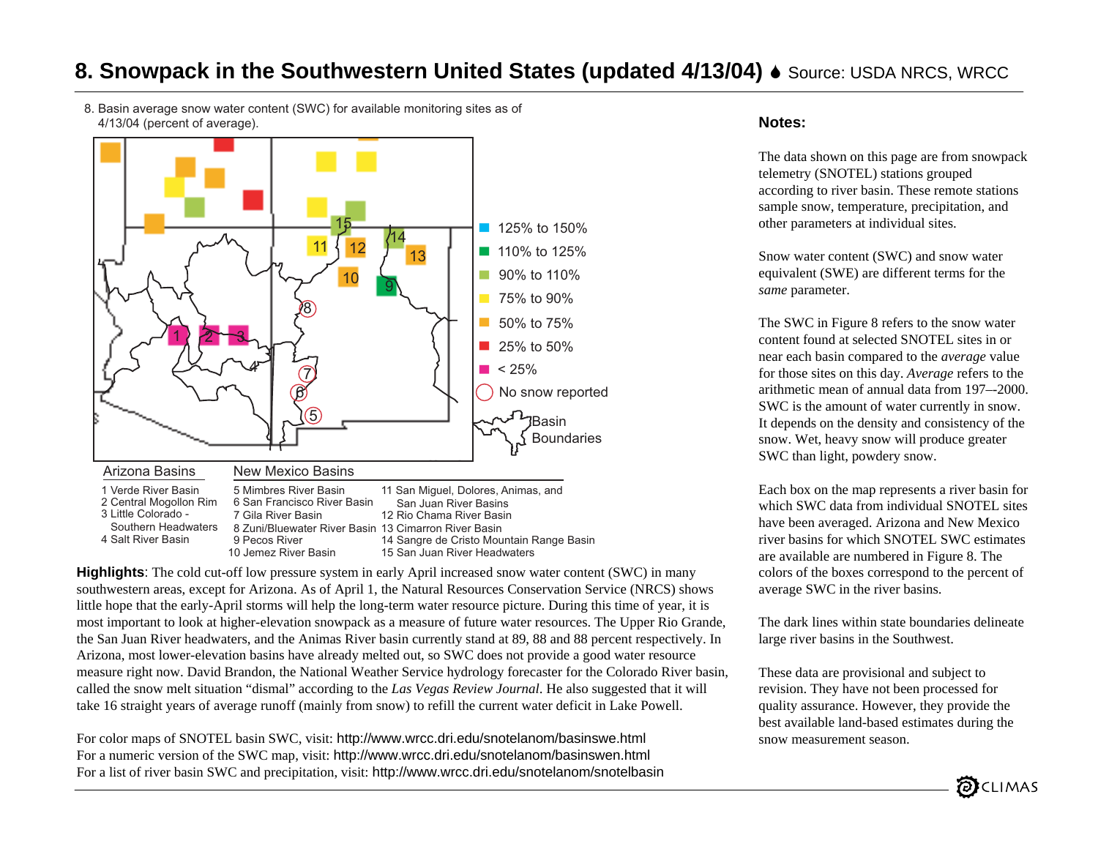## **8. Snowpack in the Southwestern United States (updated 4/13/04) ♦ Source: USDA NRCS, WRCC**

8. Basin average snow water content (SWC) for available monitoring sites as of 4/13/04 (percent of average).



**Highlights**: The cold cut-off low pressure system in early April increased snow water content (SWC) in many southwestern areas, except for Arizona. As of April 1, the Natural Resources Conservation Service (NRCS) shows little hope that the early-April storms will help the long-term water resource picture. During this time of year, it is most important to look at higher-elevation snowpack as a measure of future water resources. The Upper Rio Grande, the San Juan River headwaters, and the Animas River basin currently stand at 89, 88 and 88 percent respectively. In Arizona, most lower-elevation basins have already melted out, so SWC does not provide a good water resource measure right now. David Brandon, the National Weather Service hydrology forecaster for the Colorado River basin, called the snow melt situation "dismal" according to the *Las Vegas Review Journal*. He also suggested that it will take 16 straight years of average runoff (mainly from snow) to refill the current water deficit in Lake Powell.

For color maps of SNOTEL basin SWC, visit: http://www.wrcc.dri.edu/snotelanom/basinswe.html For a numeric version of the SWC map, visit: http://www.wrcc.dri.edu/snotelanom/basinswen.html For a list of river basin SWC and precipitation, visit: http://www.wrcc.dri.edu/snotelanom/snotelbasin

#### **Notes:**

The data shown on this page are from snowpack telemetry (SNOTEL) stations grouped according to river basin. These remote stations sample snow, temperature, precipitation, and other parameters at individual sites.

Snow water content (SWC) and snow water equivalent (SWE) are different terms for the *same* parameter.

The SWC in Figure 8 refers to the snow water content found at selected SNOTEL sites in or near each basin compared to the *average* value for those sites on this day. *Average* refers to the arithmetic mean of annual data from 197–-2000. SWC is the amount of water currently in snow. It depends on the density and consistency of the snow. Wet, heavy snow will produce greater SWC than light, powdery snow.

Each box on the map represents a river basin for which SWC data from individual SNOTEL sites have been averaged. Arizona and New Mexico river basins for which SNOTEL SWC estimates are available are numbered in Figure 8. The colors of the boxes correspond to the percent of average SWC in the river basins.

The dark lines within state boundaries delineate large river basins in the Southwest.

These data are provisional and subject to revision. They have not been processed for quality assurance. However, they provide the best available land-based estimates during the snow measurement season.

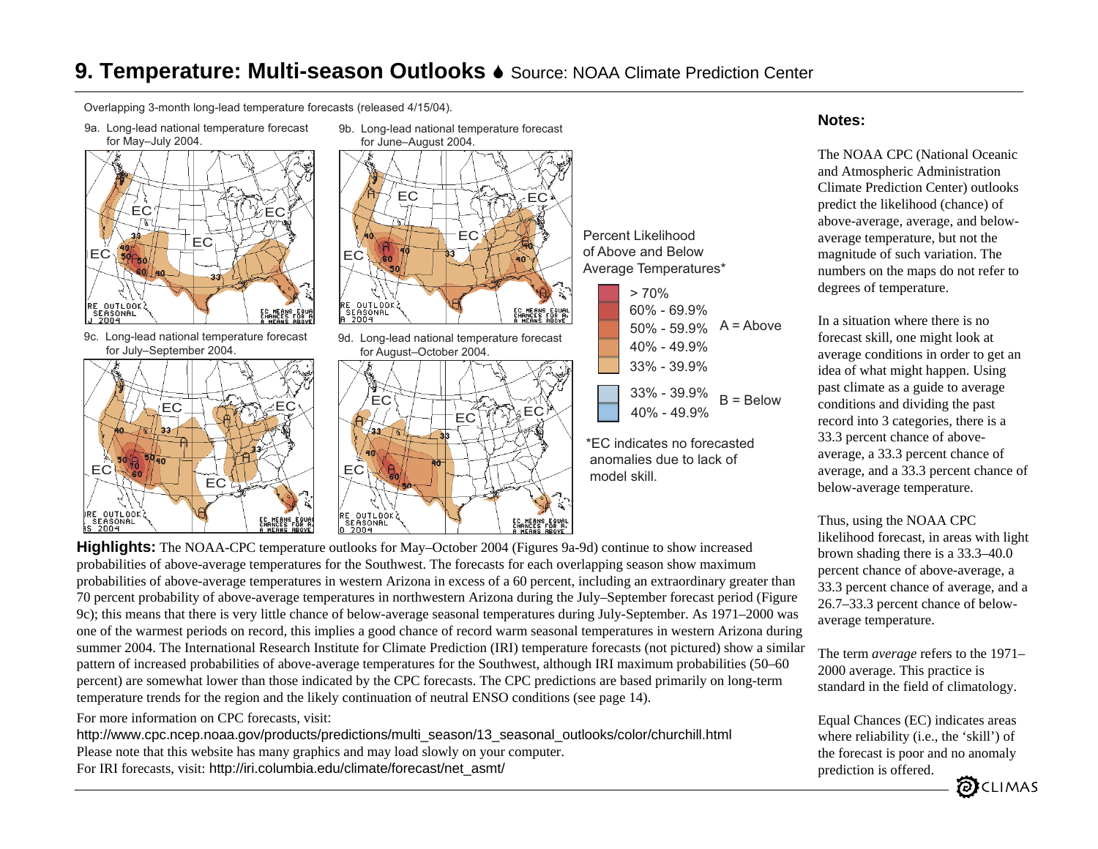# **9. Temperature: Multi-season Outlooks ♦** Source: NOAA Climate Prediction Center

Overlapping 3-month long-lead temperature forecasts (released 4/15/04).

9a. Long-lead national temperature forecast



9c. Long-lead national temperature forecast for July–September 2004.





9d. Long-lead national temperature forecast for August–October 2004.



Percent Likelihoodof Above and BelowAverage Temperatures\*

| > 70%           |             |
|-----------------|-------------|
| $60\% - 69.9\%$ |             |
| $50\% - 59.9\%$ | $A = Above$ |
| $40\% - 49.9\%$ |             |
| $33\% - 39.9\%$ |             |
| $33\% - 39.9\%$ | $B = Below$ |
| $40\% - 49.9\%$ |             |

\*EC indicates no forecasted anomalies due to lack ofmodel skill.

#### **Notes:**

The NOAA CPC (National Oceanic and Atmospheric Administration Climate Prediction Center) outlooks predict the likelihood (chance) of above-average, average, and belowaverage temperature, but not the magnitude of such variation. The numbers on the maps do not refer to degrees of temperature.

In a situation where there is no forecast skill, one might look at average conditions in order to get an idea of what might happen. Using past climate as a guide to average conditions and dividing the past record into 3 categories, there is a 33.3 percent chance of aboveaverage, a 33.3 percent chance of average, and a 33.3 percent chance of below-average temperature.

Thus, using the NOAA CPC likelihood forecast, in areas with light brown shading there is a 33.3–40.0 percent chance of above-average, a 33.3 percent chance of average, and a 26.7–33.3 percent chance of belowaverage temperature.

The term *average* refers to the 1971– 2000 average. This practice is standard in the field of climatology.

Equal Chances (EC) indicates areas where reliability (i.e., the 'skill') of the forecast is poor and no anomaly prediction is offered.



probabilities of above-average temperatures for the Southwest. The forecasts for each overlapping season show maximum probabilities of above-average temperatures in western Arizona in excess of a 60 percent, including an extraordinary greater than 70 percent probability of above-average temperatures in northwestern Arizona during the July–September forecast period (Figure 9c); this means that there is very little chance of below-average seasonal temperatures during July-September. As 1971–2000 was one of the warmest periods on record, this implies a good chance of record warm seasonal temperatures in western Arizona during summer 2004. The International Research Institute for Climate Prediction (IRI) temperature forecasts (not pictured) show a similar pattern of increased probabilities of above-average temperatures for the Southwest, although IRI maximum probabilities (50–60 percent) are somewhat lower than those indicated by the CPC forecasts. The CPC predictions are based primarily on long-term temperature trends for the region and the likely continuation of neutral ENSO conditions (see page 14).

For more information on CPC forecasts, visit:

http://www.cpc.ncep.noaa.gov/products/predictions/multi\_season/13\_seasonal\_outlooks/color/churchill.html Please note that this website has many graphics and may load slowly on your computer. For IRI forecasts, visit: http://iri.columbia.edu/climate/forecast/net\_asmt/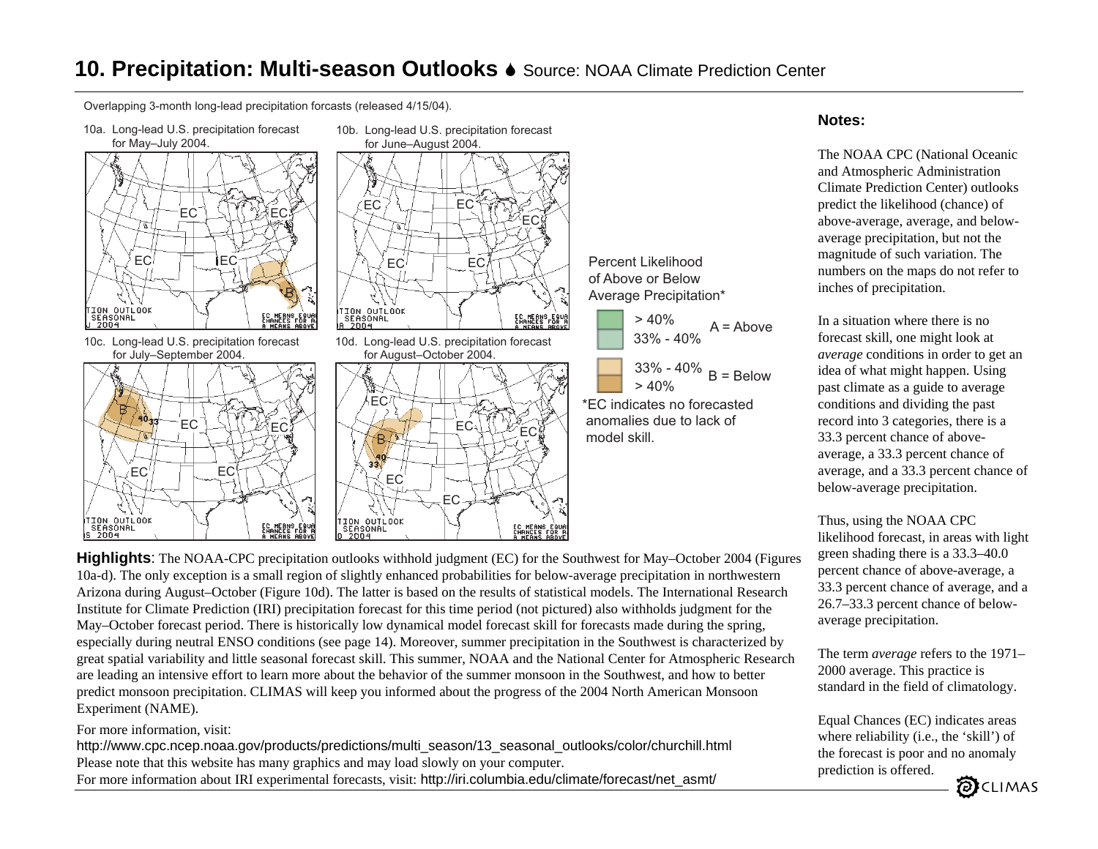## **10. Precipitation: Multi-season Outlooks** 6 Source: NOAA Climate Prediction Center

Overlapping 3-month long-lead precipitation forcasts (released 4/15/04).

10a. Long-lead U.S. precipitation forecast







EC



#### **Notes:**

The NOAA CPC (National Oceanic and Atmospheric Administration Climate Prediction Center) outlooks predict the likelihood (chance) of above-average, average, and belowaverage precipitation, but not the magnitude of such variation. The numbers on the maps do not refer to inches of precipitation.

In a situation where there is no forecast skill, one might look at *average* conditions in order to get an idea of what might happen. Using past climate as a guide to average conditions and dividing the past record into 3 categories, there is a 33.3 percent chance of aboveaverage, a 33.3 percent chance of average, and a 33.3 percent chance of below-average precipitation.

Thus, using the NOAA CPC likelihood forecast, in areas with light green shading there is a 33.3–40.0 percent chance of above-average, a 33.3 percent chance of average, and a 26.7–33.3 percent chance of belowaverage precipitation.

The term *average* refers to the 1971– 2000 average. This practice is standard in the field of climatology.

Equal Chances (EC) indicates areas where reliability (i.e., the 'skill') of the forecast is poor and no anomaly prediction is offered.



**Highlights**: The NOAA-CPC precipitation outlooks withhold judgment (EC) for the Southwest for May–October 2004 (Figures 10a-d). The only exception is a small region of slightly enhanced probabilities for below-average precipitation in northwestern Arizona during August–October (Figure 10d). The latter is based on the results of statistical models. The International Research Institute for Climate Prediction (IRI) precipitation forecast for this time period (not pictured) also withholds judgment for the May–October forecast period. There is historically low dynamical model forecast skill for forecasts made during the spring, especially during neutral ENSO conditions (see page 14). Moreover, summer precipitation in the Southwest is characterized by great spatial variability and little seasonal forecast skill. This summer, NOAA and the National Center for Atmospheric Researc h are leading an intensive effort to learn more about the behavior of the summer monsoon in the Southwest, and how to better predict monsoon precipitation. CLIMAS will keep you informed about the progress of the 2004 North American Monsoon Experiment (NAME).

EC

#### For more information, visit:

http://www.cpc.ncep.noaa.gov/products/predictions/multi\_season/13\_seasonal\_outlooks/color/churchill.html Please note that this website has many graphics and may load slowly on your computer. For more information about IRI experimental forecasts, visit: http://iri.columbia.edu/climate/forecast/net\_asmt/

EC

EC

B. 1 G

TION OUTLOOK<br>SEASONAL<br>O 2004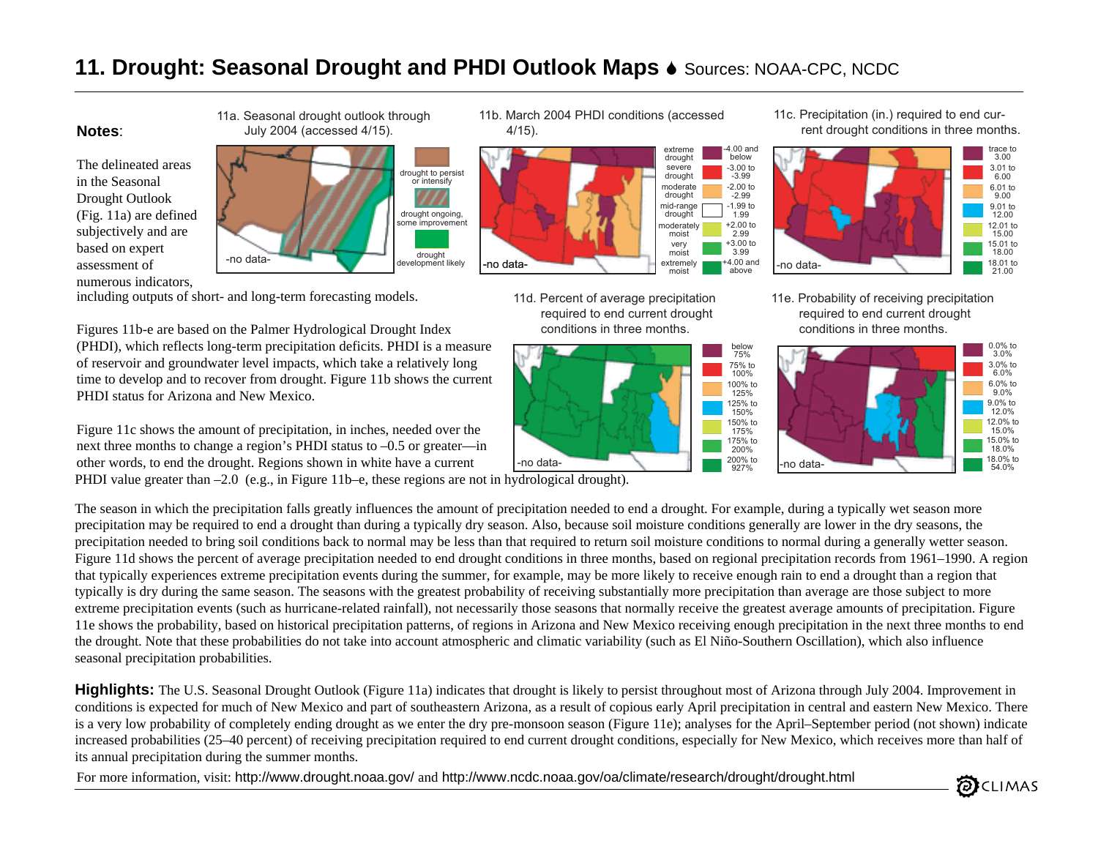# **11. Drought: Seasonal Drought and PHDI Outlook Maps**  $\bullet$  **Sources: NOAA-CPC, NCDC**

#### **Notes**:

The delineated areas in the Seasonal Drought Outlook (Fig. 11a) are defined subjectively and are based on expert assessment of numerous indicators,

including outputs of short- and long-term forecasting models.

Figures 11b-e are based on the Palmer Hydrological Drought Index (PHDI), which reflects long-term precipitation deficits. PHDI is a measure of reservoir and groundwater level impacts, which take a relatively long time to develop and to recover from drought. Figure 11b shows the current PHDI status for Arizona and New Mexico.

Figure 11c shows the amount of precipitation, in inches, needed over the next three months to change a region's PHDI status to –0.5 or greater—in other words, to end the drought. Regions shown in white have a current

PHDI value greater than –2.0 (e.g., in Figure 11b–e, these regions are not in hydrological drought).

The season in which the precipitation falls greatly influences the amount of precipitation needed to end a drought. For example, during a typically wet season more precipitation may be required to end a drought than during a typically dry season. Also, because soil moisture conditions generally are lower in the dry seasons, the precipitation needed to bring soil conditions back to normal may be less than that required to return soil moisture conditions to normal during a generally wetter season. Figure 11d shows the percent of average precipitation needed to end drought conditions in three months, based on regional precipitation records from 1961–1990. A region that typically experiences extreme precipitation events during the summer, for example, may be more likely to receive enough rain to end a drought than a region that typically is dry during the same season. The seasons with the greatest probability of receiving substantially more precipitation than average are those subject to more extreme precipitation events (such as hurricane-related rainfall), not necessarily those seasons that normally receive the greatest average amounts of precipitation. Figure 11e shows the probability, based on historical precipitation patterns, of regions in Arizona and New Mexico receiving enough precipitation in the next three months to end the drought. Note that these probabilities do not take into account atmospheric and climatic variability (such as El Niño-Southern Oscillation), which also influence seasonal precipitation probabilities.

**Highlights:** The U.S. Seasonal Drought Outlook (Figure 11a) indicates that drought is likely to persist throughout most of Arizona through July 2004. Improvement in conditions is expected for much of New Mexico and part of southeastern Arizona, as a result of copious early April precipitation in central and eastern New Mexico. There is a very low probability of completely ending drought as we enter the dry pre-monsoon season (Figure 11e); analyses for the April–September period (not shown) indicate increased probabilities (25–40 percent) of receiving precipitation required to end current drought conditions, especially for New Mexico, which receives more than half of its annual precipitation during the summer months.

For more information, visit: http://www.drought.noaa.gov/ and http://www.ncdc.noaa.gov/oa/climate/research/drought/drought.html

11a. Seasonal drought outlook through July 2004 (accessed 4/15).



11b. March 2004 PHDI conditions (accessed 4/15).



2.99

11d. Percent of average precipitation required to end current drought conditions in three months.



11c. Precipitation (in.) required to end cur- rent drought conditions in three months.



11e. Probability of receiving precipitation required to end current drought conditions in three months.



CLIMAS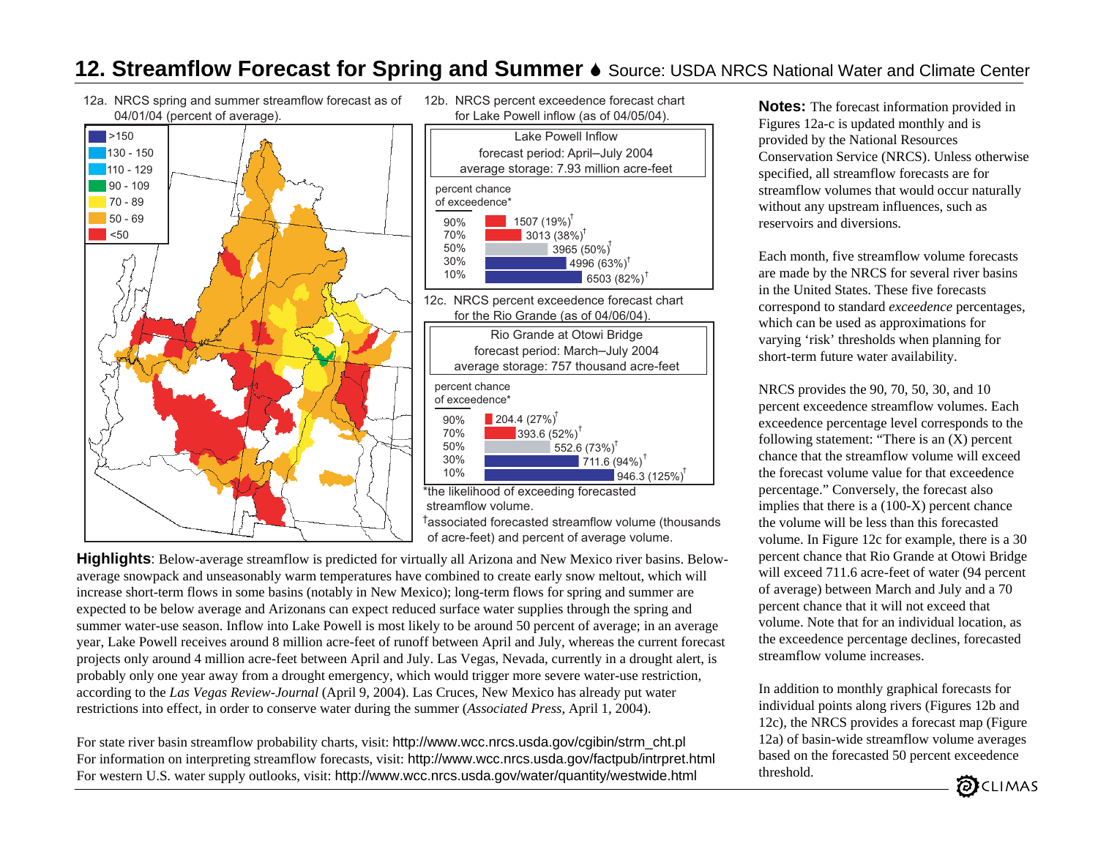### **12. Streamflow Forecast for Spring and Summer ♦** Source: USDA NRCS National Water and Climate Center

12a. NRCS spring and summer streamflow forecast as of 04/01/04 (percent of average).



12b. NRCS percent exceedence forecast chart for Lake Powell inflow (as of 04/05/04).



<sup>†</sup>associated forecasted streamflow volume (thousands of acre-feet) and percent of average volume.

**Highlights**: Below-average streamflow is predicted for virtually all Arizona and New Mexico river basins. Belowaverage snowpack and unseasonably warm temperatures have combined to create early snow meltout, which will increase short-term flows in some basins (notably in New Mexico); long-term flows for spring and summer are expected to be below average and Arizonans can expect reduced surface water supplies through the spring and summer water-use season. Inflow into Lake Powell is most likely to be around 50 percent of average; in an average year, Lake Powell receives around 8 million acre-feet of runoff between April and July, whereas the current forecast projects only around 4 million acre-feet between April and July. Las Vegas, Nevada, currently in a drought alert, is probably only one year away from a drought emergency, which would trigger more severe water-use restriction, according to the *Las Vegas Review-Journal* (April 9, 2004). Las Cruces, New Mexico has already put water restrictions into effect, in order to conserve water during the summer (*Associated Press*, April 1, 2004).

For state river basin streamflow probability charts, visit: http://www.wcc.nrcs.usda.gov/cgibin/strm\_cht.pl For information on interpreting streamflow forecasts, visit: http://www.wcc.nrcs.usda.gov/factpub/intrpret.html For western U.S. water supply outlooks, visit: http://www.wcc.nrcs.usda.gov/water/quantity/westwide.html

**Notes:** The forecast information provided in Figures 12a-c is updated monthly and is provided by the National Resources Conservation Service (NRCS). Unless otherwise specified, all streamflow forecasts are for streamflow volumes that would occur naturally without any upstream influences, such as reservoirs and diversions.

Each month, five streamflow volume forecasts are made by the NRCS for several river basins in the United States. These five forecasts correspond to standard *exceedence* percentages, which can be used as approximations for varying 'risk' thresholds when planning for short-term future water availability.

NRCS provides the 90, 70, 50, 30, and 10 percent exceedence streamflow volumes. Each exceedence percentage level corresponds to the following statement: "There is an (X) percent chance that the streamflow volume will exceed the forecast volume value for that exceedence percentage." Conversely, the forecast also implies that there is a (100-X) percent chance the volume will be less than this forecasted volume. In Figure 12c for example, there is a 30 percent chance that Rio Grande at Otowi Bridge will exceed 711.6 acre-feet of water (94 percent of average) between March and July and a 70 percent chance that it will not exceed that volume. Note that for an individual location, as the exceedence percentage declines, forecasted streamflow volume increases.

In addition to monthly graphical forecasts for individual points along rivers (Figures 12b and 12c), the NRCS provides a forecast map (Figure 12a) of basin-wide streamflow volume averages based on the forecasted 50 percent exceedence threshold.

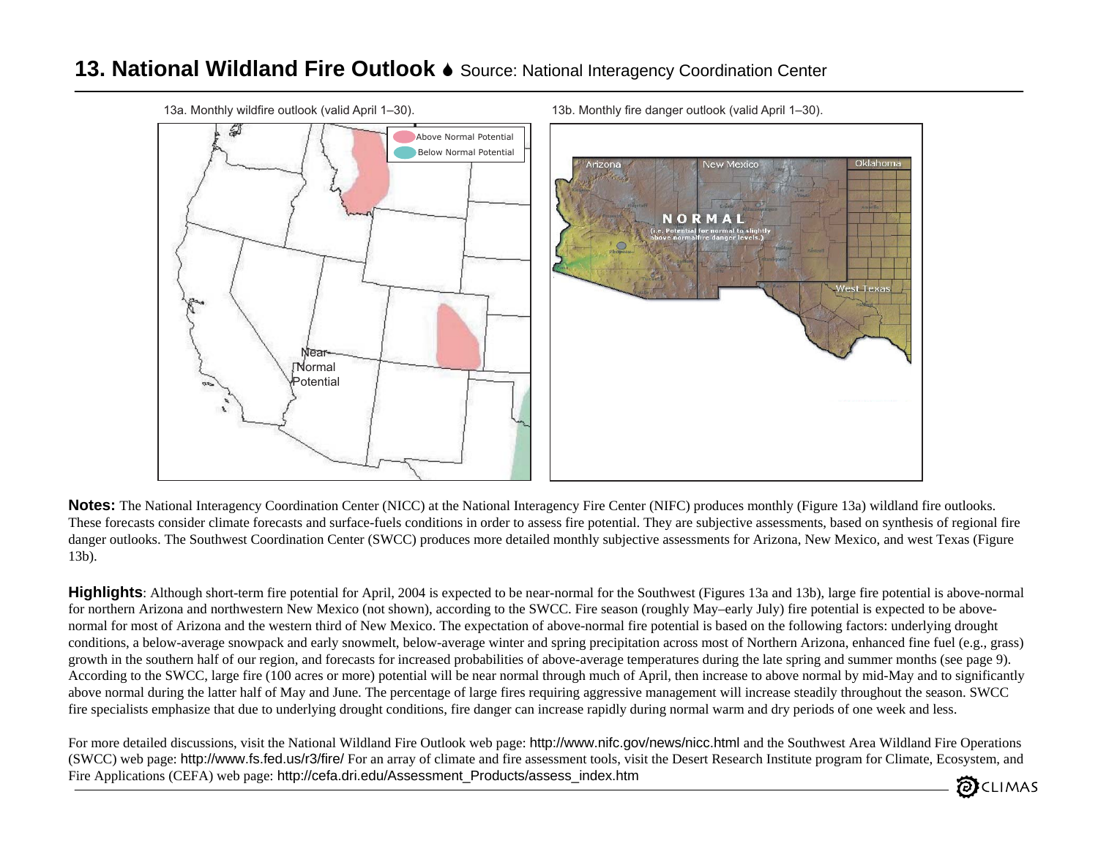#### **13. National Wildland Fire Outlook** 6 Source: National Interagency Coordination Center



**Notes:** The National Interagency Coordination Center (NICC) at the National Interagency Fire Center (NIFC) produces monthly (Figure 13a) wildland fire outlooks. These forecasts consider climate forecasts and surface-fuels conditions in order to assess fire potential. They are subjective assessments, based on synthesis of regional fire danger outlooks. The Southwest Coordination Center (SWCC) produces more detailed monthly subjective assessments for Arizona, New Mexico, and west Texas (Figure 13b).

**Highlights**: Although short-term fire potential for April, 2004 is expected to be near-normal for the Southwest (Figures 13a and 13b), large fire potential is above-normal for northern Arizona and northwestern New Mexico (not shown), according to the SWCC. Fire season (roughly May–early July) fire potential is expected to be abovenormal for most of Arizona and the western third of New Mexico. The expectation of above-normal fire potential is based on the following factors: underlying drought conditions, a below-average snowpack and early snowmelt, below-average winter and spring precipitation across most of Northern Arizona, enhanced fine fuel (e.g., grass) growth in the southern half of our region, and forecasts for increased probabilities of above-average temperatures during the late spring and summer months (see page 9). According to the SWCC, large fire (100 acres or more) potential will be near normal through much of April, then increase to above normal by mid-May and to significantly above normal during the latter half of May and June. The percentage of large fires requiring aggressive management will increase steadily throughout the season. SWCC fire specialists emphasize that due to underlying drought conditions, fire danger can increase rapidly during normal warm and dry periods of one week and less.

For more detailed discussions, visit the National Wildland Fire Outlook web page: http://www.nifc.gov/news/nicc.html and the Southwest Area Wildland Fire Operations (SWCC) web page: http://www.fs.fed.us/r3/fire/ For an array of climate and fire assessment tools, visit the Desert Research Institute program for Climate, Ecosystem, and Fire Applications (CEFA) web page: http://cefa.dri.edu/Assessment\_Products/assess\_index.htm CLIMAS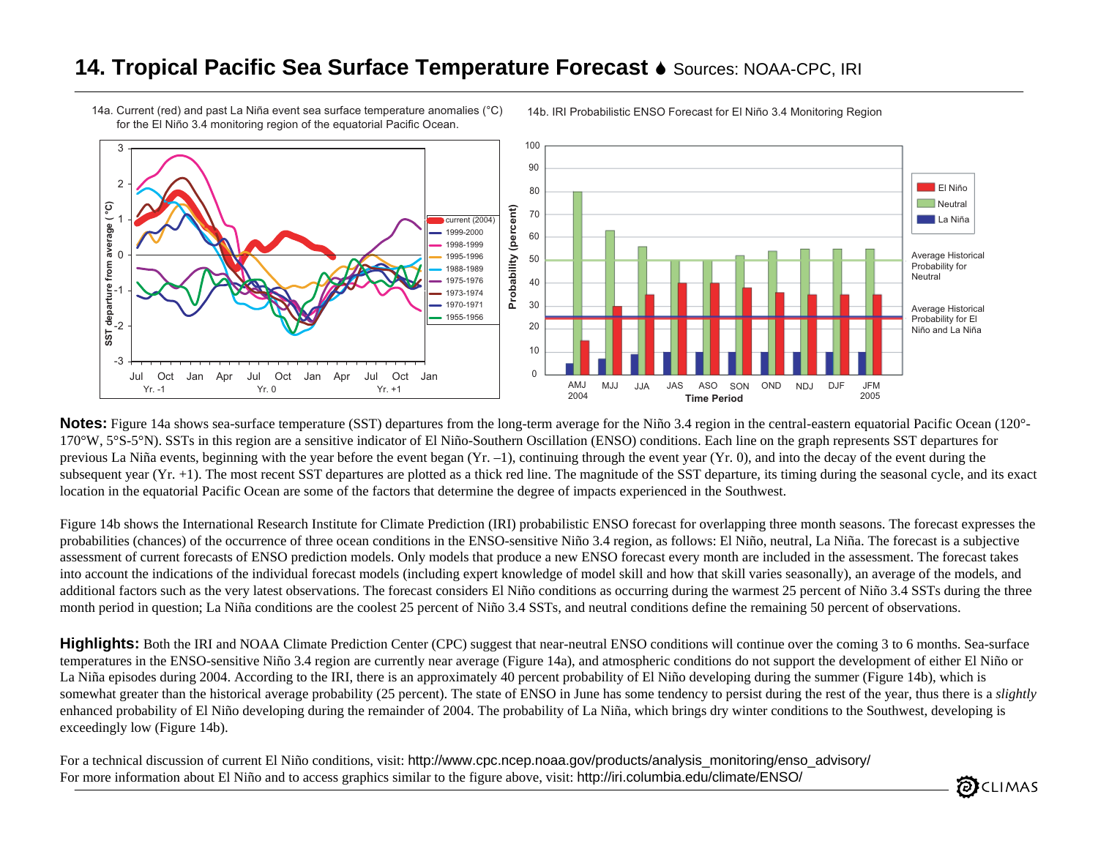### **14. Tropical Pacific Sea Surface Temperature Forecast**  6 Sources: NOAA-CPC, IRI

14a. Current (red) and past La Niña event sea surface temperature anomalies (°C) for the El Niño 3.4 monitoring region of the equatorial Pacific Ocean.



14b. IRI Probabilistic ENSO Forecast for El Niño 3.4 Monitoring Region

**Notes:** Figure 14a shows sea-surface temperature (SST) departures from the long-term average for the Niño 3.4 region in the central-eastern equatorial Pacific Ocean (120°-170°W, 5°S-5°N). SSTs in this region are a sensitive indicator of El Niño-Southern Oscillation (ENSO) conditions. Each line on the graph represents SST departures for previous La Niña events, beginning with the year before the event began  $(Yr, -1)$ , continuing through the event year  $(Yr, 0)$ , and into the decay of the event during the subsequent year (Yr. +1). The most recent SST departures are plotted as a thick red line. The magnitude of the SST departure, its timing during the seasonal cycle, and its exact location in the equatorial Pacific Ocean are some of the factors that determine the degree of impacts experienced in the Southwest.

Figure 14b shows the International Research Institute for Climate Prediction (IRI) probabilistic ENSO forecast for overlapping three month seasons. The forecast expresses the probabilities (chances) of the occurrence of three ocean conditions in the ENSO-sensitive Niño 3.4 region, as follows: El Niño, neutral, La Niña. The forecast is a subjective assessment of current forecasts of ENSO prediction models. Only models that produce a new ENSO forecast every month are included in the assessment. The forecast takes into account the indications of the individual forecast models (including expert knowledge of model skill and how that skill varies seasonally), an average of the models, and additional factors such as the very latest observations. The forecast considers El Niño conditions as occurring during the warmest 25 percent of Niño 3.4 SSTs during the three month period in question; La Niña conditions are the coolest 25 percent of Niño 3.4 SSTs, and neutral conditions define the remaining 50 percent of observations.

**Highlights:** Both the IRI and NOAA Climate Prediction Center (CPC) suggest that near-neutral ENSO conditions will continue over the coming 3 to 6 months. Sea-surface temperatures in the ENSO-sensitive Niño 3.4 region are currently near average (Figure 14a), and atmospheric conditions do not support the development of either El Niño or La Niña episodes during 2004. According to the IRI, there is an approximately 40 percent probability of El Niño developing during the summer (Figure 14b), which is somewhat greater than the historical average probability (25 percent). The state of ENSO in June has some tendency to persist during the rest of the year, thus there is a *slightly* enhanced probability of El Niño developing during the remainder of 2004. The probability of La Niña, which brings dry winter conditions to the Southwest, developing is exceedingly low (Figure 14b).

For a technical discussion of current El Niño conditions, visit: http://www.cpc.ncep.noaa.gov/products/analysis\_monitoring/enso\_advisory/ For more information about El Niño and to access graphics similar to the figure above, visit: http://iri.columbia.edu/climate/ENSO/

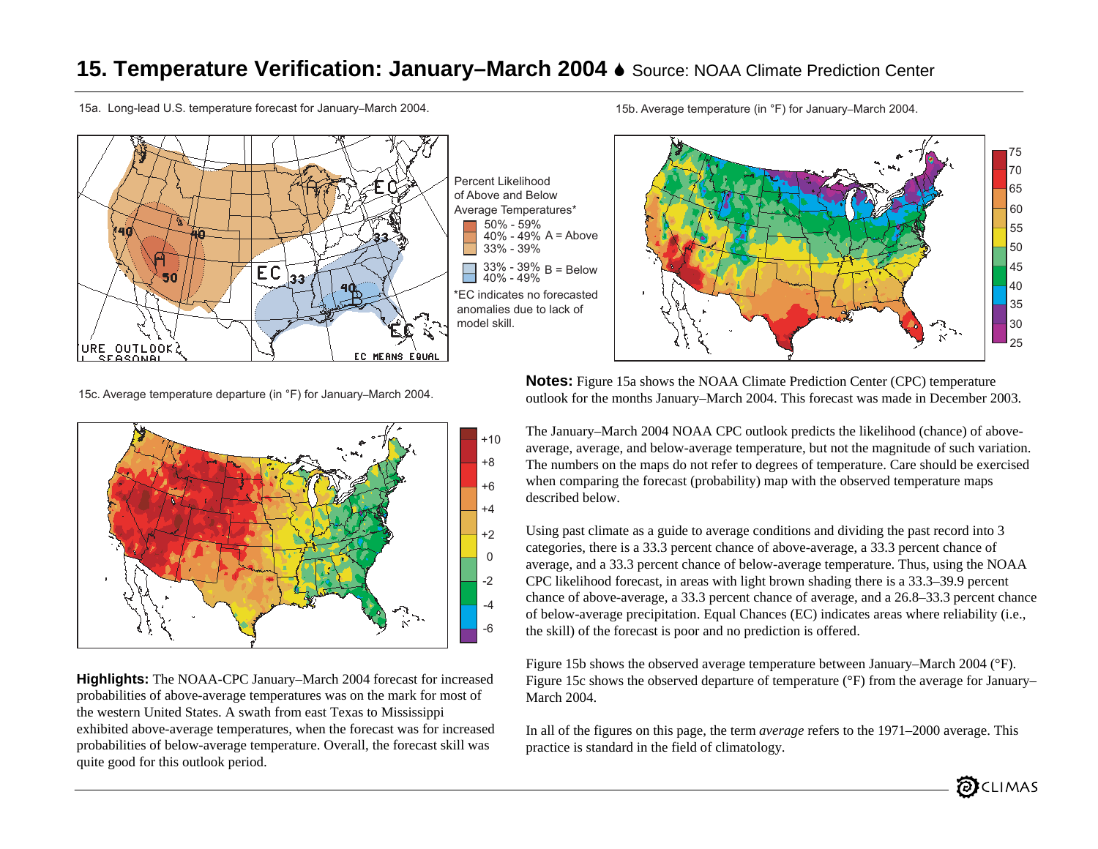### **15. Temperature Verification: January–March 2004 ♦ Source: NOAA Climate Prediction Center**

15a. Long-lead U.S. temperature forecast for January–March 2004. 15b. Average temperature (in °F) for January–March 2004.



Percent Likelihoodof Above and BelowAverage Temperatures\* \*EC indicates no forecasted anomalies due to lack of model skill.33% - 39% B = Below<br>40% - 49% 33% - 39% 40% - 49% A = Above 50% - 59%



**Notes:** Figure 15a shows the NOAA Climate Prediction Center (CPC) temperature outlook for the months January–March 2004. This forecast was made in December 2003.

The January–March 2004 NOAA CPC outlook predicts the likelihood (chance) of aboveaverage, average, and below-average temperature, but not the magnitude of such variation. The numbers on the maps do not refer to degrees of temperature. Care should be exercised when comparing the forecast (probability) map with the observed temperature maps described below.

Using past climate as a guide to average conditions and dividing the past record into 3 categories, there is a 33.3 percent chance of above-average, a 33.3 percent chance of average, and a 33.3 percent chance of below-average temperature. Thus, using the NOAA CPC likelihood forecast, in areas with light brown shading there is a 33.3–39.9 percent chance of above-average, a 33.3 percent chance of average, and a 26.8–33.3 percent chance of below-average precipitation. Equal Chances (EC) indicates areas where reliability (i.e., the skill) of the forecast is poor and no prediction is offered.

Figure 15b shows the observed average temperature between January–March 2004 (°F). Figure 15c shows the observed departure of temperature ( $\rm{^{\circ}F}$ ) from the average for January– March 2004.

In all of the figures on this page, the term *average* refers to the 1971–2000 average. This practice is standard in the field of climatology.

15c. Average temperature departure (in °F) for January–March 2004.



**Highlights:** The NOAA-CPC January–March 2004 forecast for increased probabilities of above-average temperatures was on the mark for most of the western United States. A swath from east Texas to Mississippi exhibited above-average temperatures, when the forecast was for increased probabilities of below-average temperature. Overall, the forecast skill was quite good for this outlook period.

25